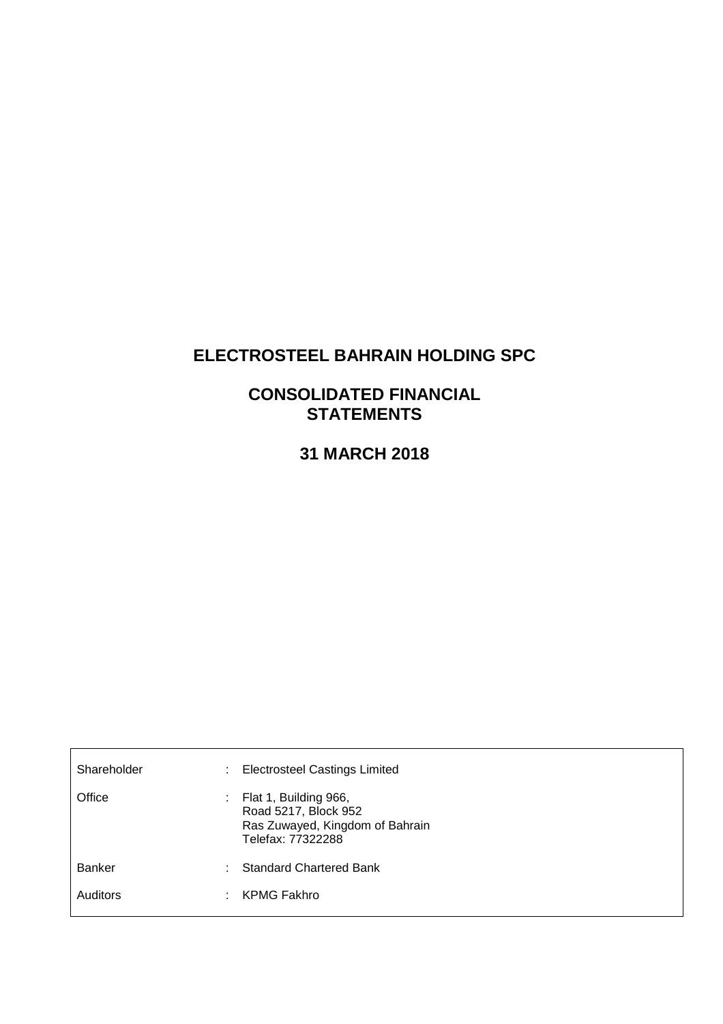# **ELECTROSTEEL BAHRAIN HOLDING SPC**

# **CONSOLIDATED FINANCIAL STATEMENTS**

**31 MARCH 2018**

| Shareholder     |     | <b>Electrosteel Castings Limited</b>                                                                  |
|-----------------|-----|-------------------------------------------------------------------------------------------------------|
| Office          | ÷   | Flat 1, Building 966,<br>Road 5217, Block 952<br>Ras Zuwayed, Kingdom of Bahrain<br>Telefax: 77322288 |
| <b>Banker</b>   | . . | <b>Standard Chartered Bank</b>                                                                        |
| <b>Auditors</b> | ÷   | <b>KPMG Fakhro</b>                                                                                    |

 $\overline{1}$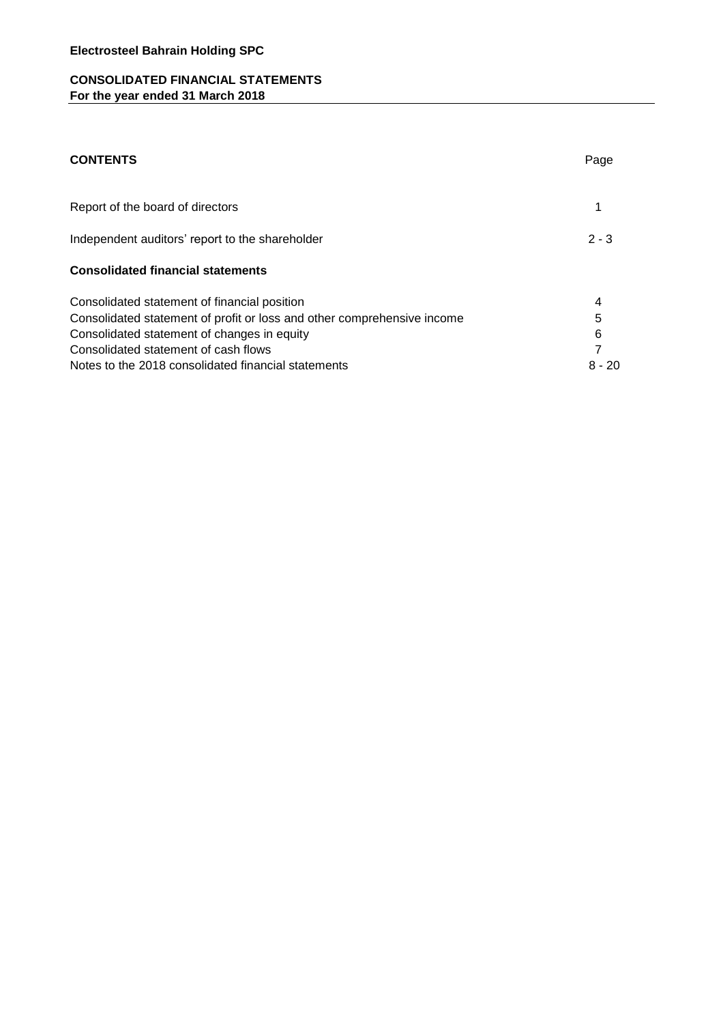# **CONSOLIDATED FINANCIAL STATEMENTS For the year ended 31 March 2018**

| <b>CONTENTS</b>                                                                                                                                                                                                                                                       | Page                    |
|-----------------------------------------------------------------------------------------------------------------------------------------------------------------------------------------------------------------------------------------------------------------------|-------------------------|
| Report of the board of directors                                                                                                                                                                                                                                      |                         |
| Independent auditors' report to the shareholder                                                                                                                                                                                                                       | $2 - 3$                 |
| <b>Consolidated financial statements</b>                                                                                                                                                                                                                              |                         |
| Consolidated statement of financial position<br>Consolidated statement of profit or loss and other comprehensive income<br>Consolidated statement of changes in equity<br>Consolidated statement of cash flows<br>Notes to the 2018 consolidated financial statements | 4<br>5<br>6<br>$8 - 20$ |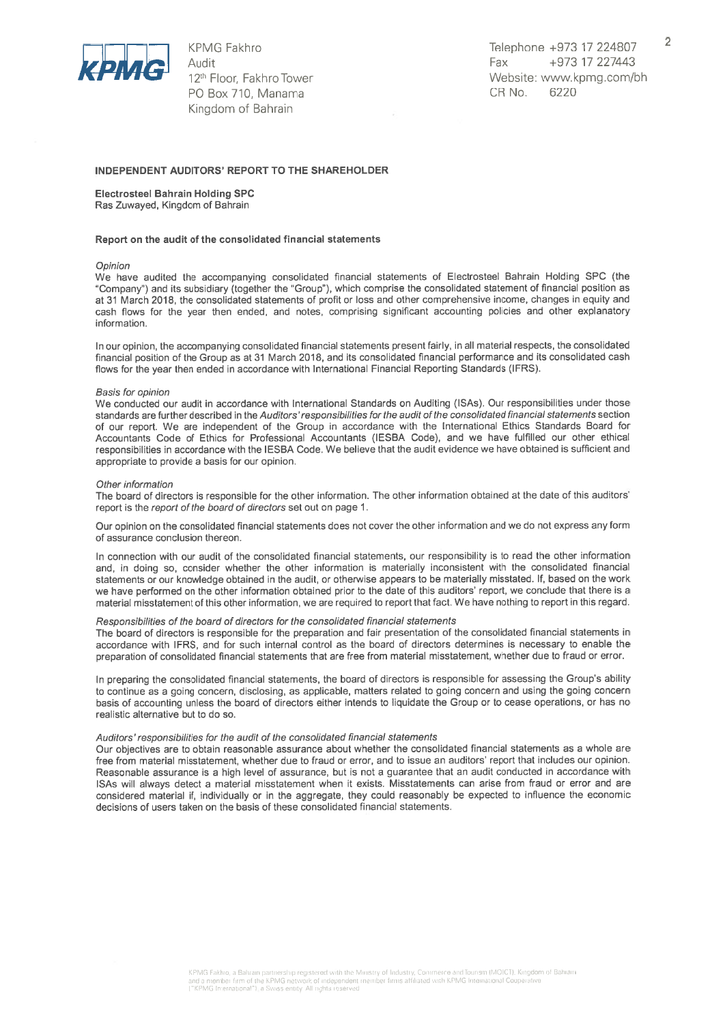

**KPMG Fakhro** Audit 12<sup>th</sup> Floor, Fakhro Tower PO Box 710, Manama Kingdom of Bahrain

Telephone +973 17 224807 Fax +973 17 227443 Website: www.kpmg.com/bh CR No. 6220

#### INDEPENDENT AUDITORS' REPORT TO THE SHAREHOLDER

**Electrosteel Bahrain Holding SPC** Ras Zuwayed, Kingdom of Bahrain

#### Report on the audit of the consolidated financial statements

#### Opinion

We have audited the accompanying consolidated financial statements of Electrosteel Bahrain Holding SPC (the "Company") and its subsidiary (together the "Group"), which comprise the consolidated statement of financial position as at 31 March 2018, the consolidated statements of profit or loss and other comprehensive income, changes in equity and cash flows for the year then ended, and notes, comprising significant accounting policies and other explanatory information

In our opinion, the accompanying consolidated financial statements present fairly, in all material respects, the consolidated financial position of the Group as at 31 March 2018, and its consolidated financial performance and its consolidated cash flows for the year then ended in accordance with International Financial Reporting Standards (IFRS).

#### **Basis for opinion**

We conducted our audit in accordance with International Standards on Auditing (ISAs). Our responsibilities under those standards are further described in the Auditors' responsibilities for the audit of the consolidated financial statements section of our report. We are independent of the Group in accordance with the International Ethics Standards Board for Accountants Code of Ethics for Professional Accountants (IESBA Code), and we have fulfilled our other ethical responsibilities in accordance with the IESBA Code. We believe that the audit evidence we have obtained is sufficient and appropriate to provide a basis for our opinion.

#### Other information

The board of directors is responsible for the other information. The other information obtained at the date of this auditors' report is the report of the board of directors set out on page 1.

Our opinion on the consolidated financial statements does not cover the other information and we do not express any form of assurance conclusion thereon.

In connection with our audit of the consolidated financial statements, our responsibility is to read the other information and, in doing so, consider whether the other information is materially inconsistent with the consolidated financial statements or our knowledge obtained in the audit, or otherwise appears to be materially misstated. If, based on the work we have performed on the other information obtained prior to the date of this auditors' report, we conclude that there is a material misstatement of this other information, we are required to report that fact. We have nothing to report in this regard.

#### Responsibilities of the board of directors for the consolidated financial statements

The board of directors is responsible for the preparation and fair presentation of the consolidated financial statements in accordance with IFRS, and for such internal control as the board of directors determines is necessary to enable the preparation of consolidated financial statements that are free from material misstatement, whether due to fraud or error.

In preparing the consolidated financial statements, the board of directors is responsible for assessing the Group's ability to continue as a going concern, disclosing, as applicable, matters related to going concern and using the going concern basis of accounting unless the board of directors either intends to liquidate the Group or to cease operations, or has no realistic alternative but to do so.

#### Auditors' responsibilities for the audit of the consolidated financial statements

Our objectives are to obtain reasonable assurance about whether the consolidated financial statements as a whole are free from material misstatement, whether due to fraud or error, and to issue an auditors' report that includes our opinion. Reasonable assurance is a high level of assurance, but is not a guarantee that an audit conducted in accordance with ISAs will always detect a material misstatement when it exists. Misstatements can arise from fraud or error and are considered material if, individually or in the aggregate, they could reasonably be expected to influence the economic decisions of users taken on the basis of these consolidated financial statements.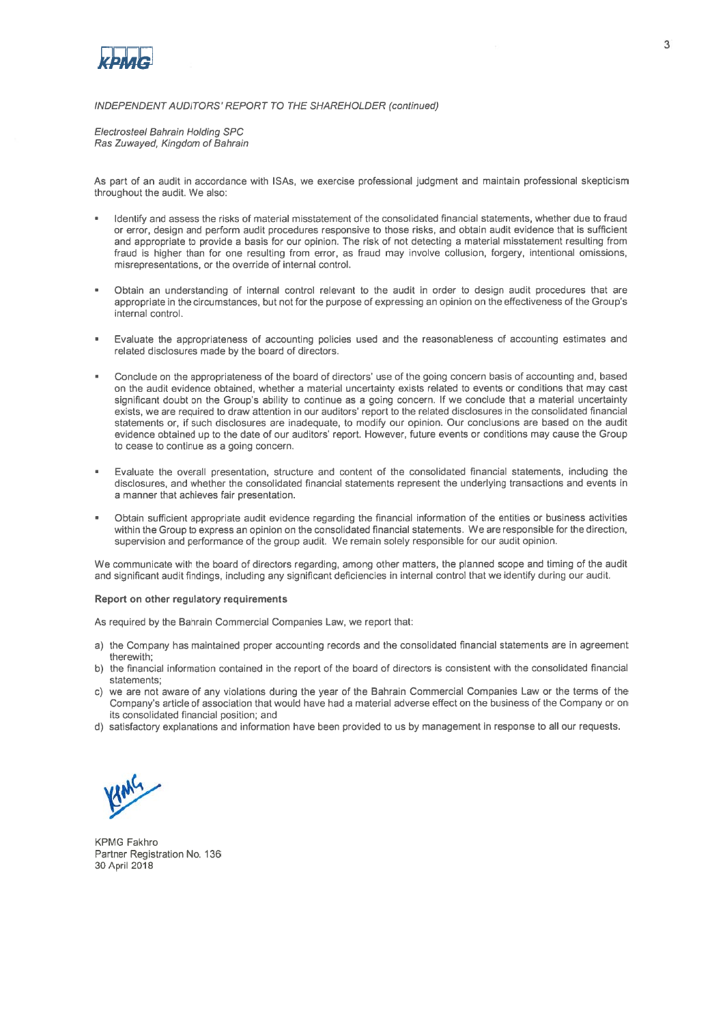

#### **INDEPENDENT AUDITORS' REPORT TO THE SHAREHOLDER (continued)**

Electrosteel Bahrain Holding SPC Ras Zuwayed, Kingdom of Bahrain

As part of an audit in accordance with ISAs, we exercise professional judgment and maintain professional skepticism throughout the audit. We also:

- Identify and assess the risks of material misstatement of the consolidated financial statements, whether due to fraud or error, design and perform audit procedures responsive to those risks, and obtain audit evidence that is sufficient and appropriate to provide a basis for our opinion. The risk of not detecting a material misstatement resulting from fraud is higher than for one resulting from error, as fraud may involve collusion, forgery, intentional omissions, misrepresentations, or the override of internal control.
- Obtain an understanding of internal control relevant to the audit in order to design audit procedures that are appropriate in the circumstances, but not for the purpose of expressing an opinion on the effectiveness of the Group's internal control.
- Evaluate the appropriateness of accounting policies used and the reasonableness of accounting estimates and related disclosures made by the board of directors.
- Conclude on the appropriateness of the board of directors' use of the going concern basis of accounting and, based on the audit evidence obtained, whether a material uncertainty exists related to events or conditions that may cast significant doubt on the Group's ability to continue as a going concern. If we conclude that a material uncertainty exists, we are required to draw attention in our auditors' report to the related disclosures in the consolidated financial statements or, if such disclosures are inadequate, to modify our opinion. Our conclusions are based on the audit evidence obtained up to the date of our auditors' report. However, future events or conditions may cause the Group to cease to continue as a going concern.
- Evaluate the overall presentation, structure and content of the consolidated financial statements, including the disclosures, and whether the consolidated financial statements represent the underlying transactions and events in a manner that achieves fair presentation.
- Obtain sufficient appropriate audit evidence regarding the financial information of the entities or business activities within the Group to express an opinion on the consolidated financial statements. We are responsible for the direction. supervision and performance of the group audit. We remain solely responsible for our audit opinion.

We communicate with the board of directors regarding, among other matters, the planned scope and timing of the audit and significant audit findings, including any significant deficiencies in internal control that we identify during our audit.

#### Report on other regulatory requirements

As required by the Bahrain Commercial Companies Law, we report that:

- a) the Company has maintained proper accounting records and the consolidated financial statements are in agreement therewith:
- b) the financial information contained in the report of the board of directors is consistent with the consolidated financial statements:
- c) we are not aware of any violations during the year of the Bahrain Commercial Companies Law or the terms of the Company's article of association that would have had a material adverse effect on the business of the Company or on its consolidated financial position: and
- d) satisfactory explanations and information have been provided to us by management in response to all our requests.



**KPMG Fakhro** Partner Registration No. 136 30 April 2018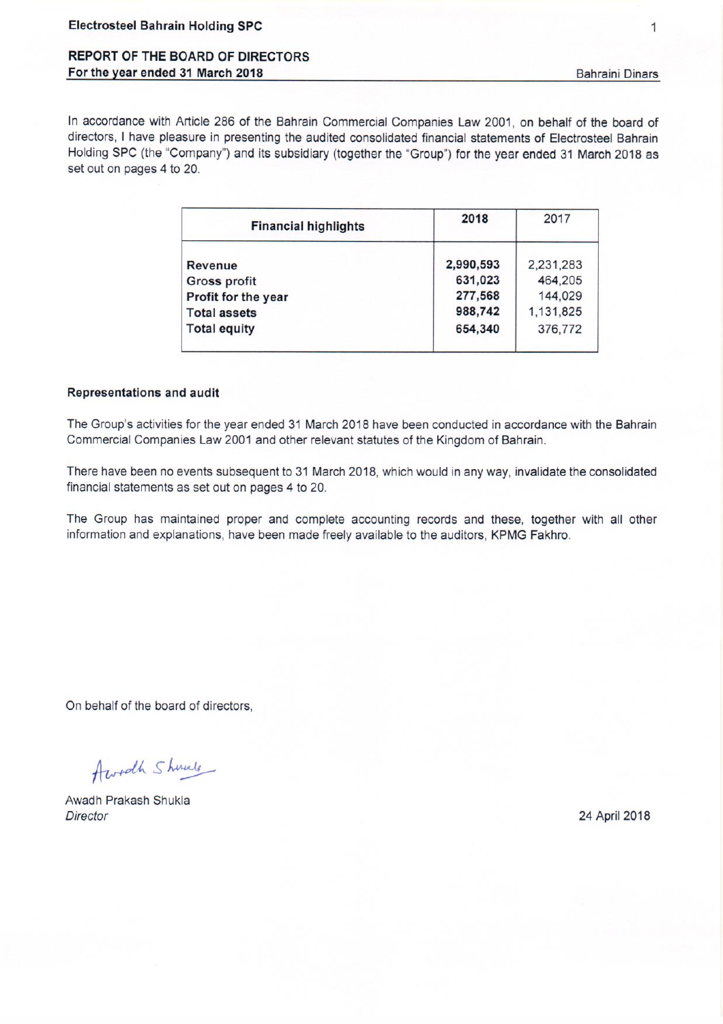#### **Electrosteel Bahrain Holding SPC**

## REPORT OF THE BOARD OF DIRECTORS For the year ended 31 March 2018

In accordance with Article 286 of the Bahrain Commercial Companies Law 2001, on behalf of the board of directors, I have pleasure in presenting the audited consolidated financial statements of Electrosteel Bahrain Holding SPC (the "Company") and its subsidiary (together the "Group") for the year ended 31 March 2018 as set out on pages 4 to 20.

| <b>Financial highlights</b> | 2018      | 2017      |  |
|-----------------------------|-----------|-----------|--|
| Revenue                     | 2,990,593 | 2,231,283 |  |
| <b>Gross profit</b>         | 631,023   | 464,205   |  |
| Profit for the year         | 277,568   | 144,029   |  |
| <b>Total assets</b>         | 988,742   | 1,131,825 |  |
| <b>Total equity</b>         | 654,340   | 376,772   |  |

#### **Representations and audit**

The Group's activities for the year ended 31 March 2018 have been conducted in accordance with the Bahrain Commercial Companies Law 2001 and other relevant statutes of the Kingdom of Bahrain.

There have been no events subsequent to 31 March 2018, which would in any way, invalidate the consolidated financial statements as set out on pages 4 to 20.

The Group has maintained proper and complete accounting records and these, together with all other information and explanations, have been made freely available to the auditors, KPMG Fakhro.

On behalf of the board of directors.

Awodh Showls

Awadh Prakash Shukla Director

24 April 2018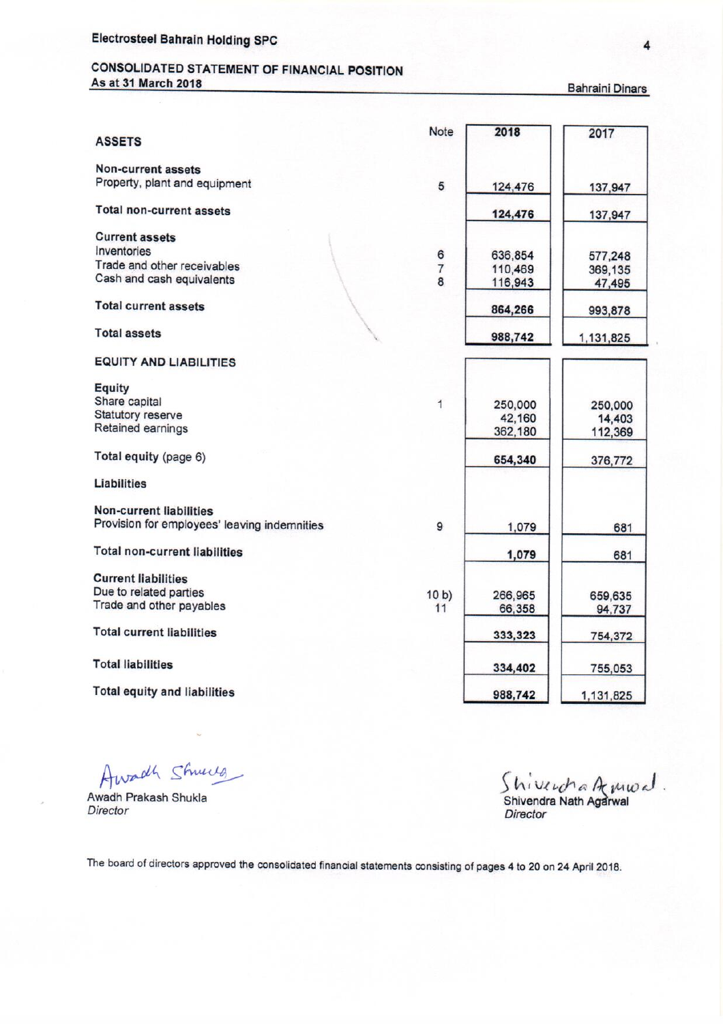# **CONSOLIDATED STATEMENT OF FINANCIAL POSITION**

As at 31 March 2018

**Bahraini Dinars** 

| <b>ASSETS</b>                                              | <b>Note</b>              | 2018                          | 2017                         |
|------------------------------------------------------------|--------------------------|-------------------------------|------------------------------|
| <b>Non-current assets</b><br>Property, plant and equipment | 5                        | 124,476                       | 137,947                      |
| <b>Total non-current assets</b>                            |                          | 124,476                       | 137,947                      |
| <b>Current assets</b><br>Inventories                       |                          |                               |                              |
| Trade and other receivables<br>Cash and cash equivalents   | 6<br>$\overline{7}$<br>8 | 636,854<br>110,469<br>116,943 | 577,248<br>369,135<br>47,495 |
| <b>Total current assets</b>                                |                          | 864,266                       | 993,878                      |
| <b>Total assets</b>                                        |                          | 988,742                       | 1,131,825                    |
| <b>EQUITY AND LIABILITIES</b>                              |                          |                               |                              |
| <b>Equity</b>                                              |                          |                               |                              |
| Share capital                                              | 1                        | 250,000                       | 250,000                      |
| <b>Statutory reserve</b><br>Retained earnings              |                          | 42,160<br>362,180             | 14,403<br>112,369            |
| Total equity (page 6)                                      |                          | 654,340                       | 376,772                      |
| <b>Liabilities</b>                                         |                          |                               |                              |
| <b>Non-current liabilities</b>                             |                          |                               |                              |
| Provision for employees' leaving indemnities               | 9                        | 1,079                         | 681                          |
| <b>Total non-current liabilities</b>                       |                          | 1,079                         | 681                          |
| <b>Current liabilities</b>                                 |                          |                               |                              |
| Due to related parties                                     | 10 <sub>b</sub>          | 266,965                       | 659,635                      |
| Trade and other payables                                   | 11                       | 66,358                        | 94,737                       |
| <b>Total current liabilities</b>                           |                          | 333,323                       | 754,372                      |
| <b>Total liabilities</b>                                   |                          | 334,402                       | 755,053                      |
| <b>Total equity and liabilities</b>                        |                          | 988,742                       | 1,131,825                    |

Awardh Shures

Awadh Prakash Shukla Director

 $Shivucha A uwa$ . Director

The board of directors approved the consolidated financial statements consisting of pages 4 to 20 on 24 April 2018.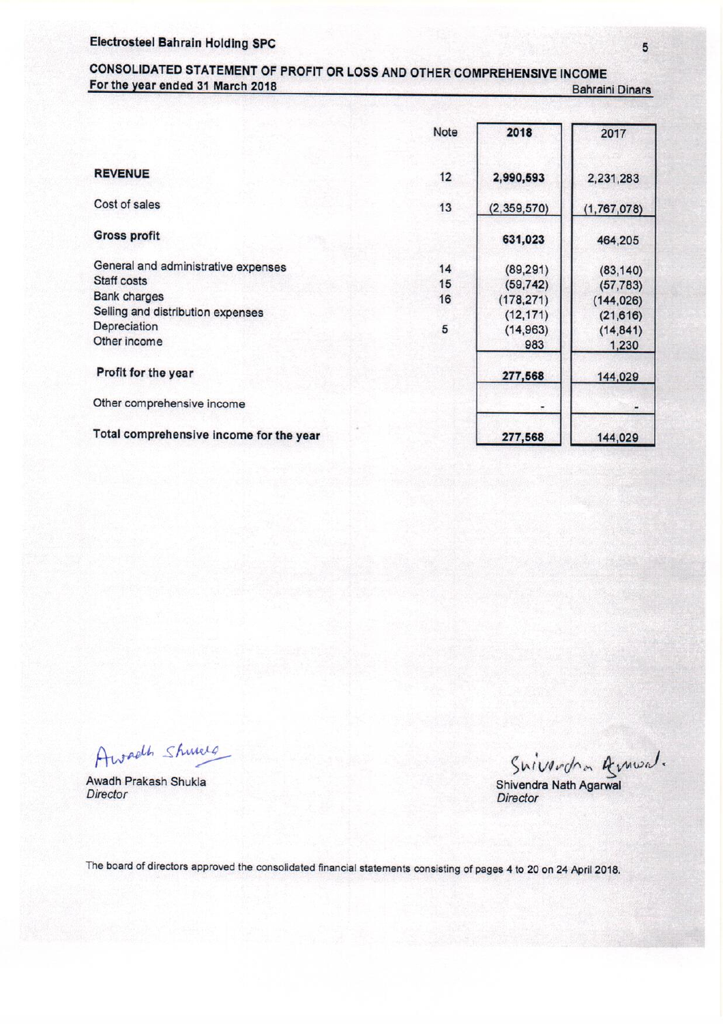$\cdots$ 

| CONSOLIDATED STATEMENT OF PROFIT OR LOSS AND OTHER COMPREHENSIVE INCOME |                 |
|-------------------------------------------------------------------------|-----------------|
| For the year ended 31 March 2018                                        | Bahraini Dinars |

|                                         | Note | 2018          | 2017          |
|-----------------------------------------|------|---------------|---------------|
| <b>REVENUE</b>                          | 12   | 2,990,593     | 2,231,283     |
| Cost of sales                           | 13   | (2, 359, 570) | (1, 767, 078) |
| <b>Gross profit</b>                     |      | 631,023       | 464,205       |
| General and administrative expenses     | 14   | (89, 291)     | (83, 140)     |
| Staff costs                             | 15   | (59, 742)     | (57, 783)     |
| <b>Bank charges</b>                     | 16   | (178, 271)    | (144, 026)    |
| Selling and distribution expenses       |      | (12, 171)     | (21, 616)     |
| Depreciation                            | 5    | (14, 963)     | (14, 841)     |
| Other income                            |      | 983           | 1,230         |
| Profit for the year                     |      | 277,568       | 144,029       |
| Other comprehensive income              |      |               |               |
| Total comprehensive income for the year |      | 277,568       | 144,029       |

Awarlh Shures

Awadh Prakash Shukla Director

Shivardon Amural.<br>Shivendra Nath Agarwal

Director

The board of directors approved the consolidated financial statements consisting of pages 4 to 20 on 24 April 2018.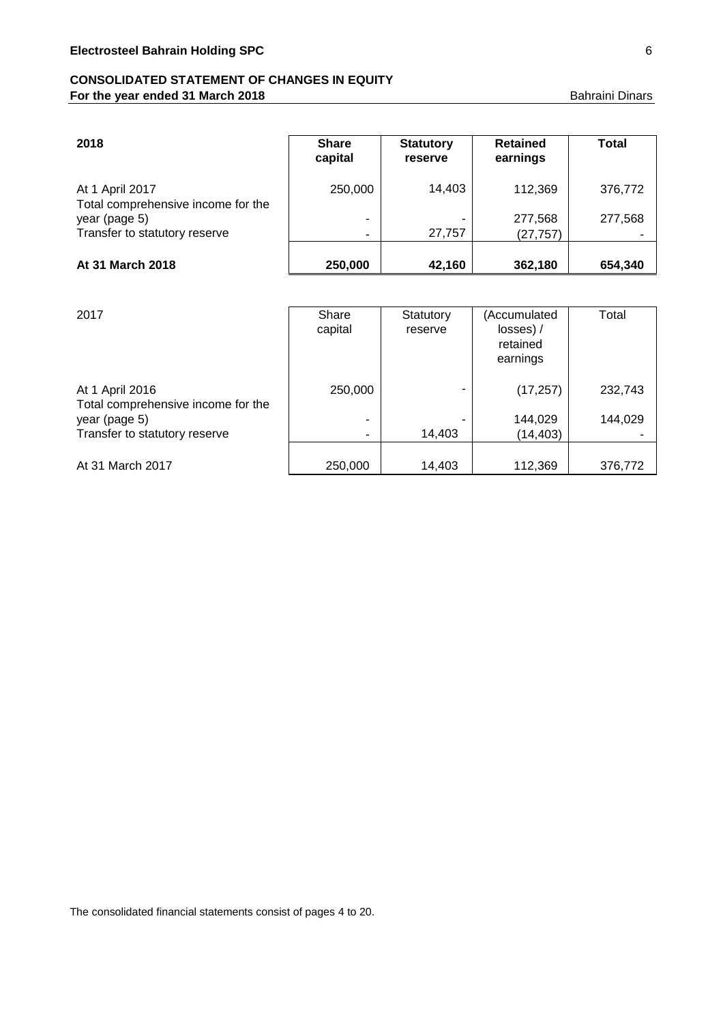# **CONSOLIDATED STATEMENT OF CHANGES IN EQUITY For the year ended 31 March 2018** Bahraini Dinars

| 2018                                                  | <b>Share</b><br>capital | <b>Statutory</b><br>reserve | <b>Retained</b><br>earnings | Total   |
|-------------------------------------------------------|-------------------------|-----------------------------|-----------------------------|---------|
| At 1 April 2017<br>Total comprehensive income for the | 250,000                 | 14,403                      | 112,369                     | 376,772 |
| year (page 5)                                         | -                       |                             | 277,568                     | 277,568 |
| Transfer to statutory reserve                         |                         | 27,757                      | (27, 757)                   |         |
| At 31 March 2018                                      | 250,000                 | 42.160                      | 362,180                     | 654,340 |

| 2017                                                  | Share<br>capital | Statutory<br>reserve | (Accumulated<br>losses) /<br>retained<br>earnings | Total   |
|-------------------------------------------------------|------------------|----------------------|---------------------------------------------------|---------|
| At 1 April 2016<br>Total comprehensive income for the | 250,000          |                      | (17, 257)                                         | 232,743 |
| year (page 5)                                         | -                |                      | 144,029                                           | 144,029 |
| Transfer to statutory reserve                         | -                | 14,403               | (14, 403)                                         |         |
|                                                       |                  |                      |                                                   |         |
| At 31 March 2017                                      | 250,000          | 14,403               | 112,369                                           | 376,772 |

The consolidated financial statements consist of pages 4 to 20.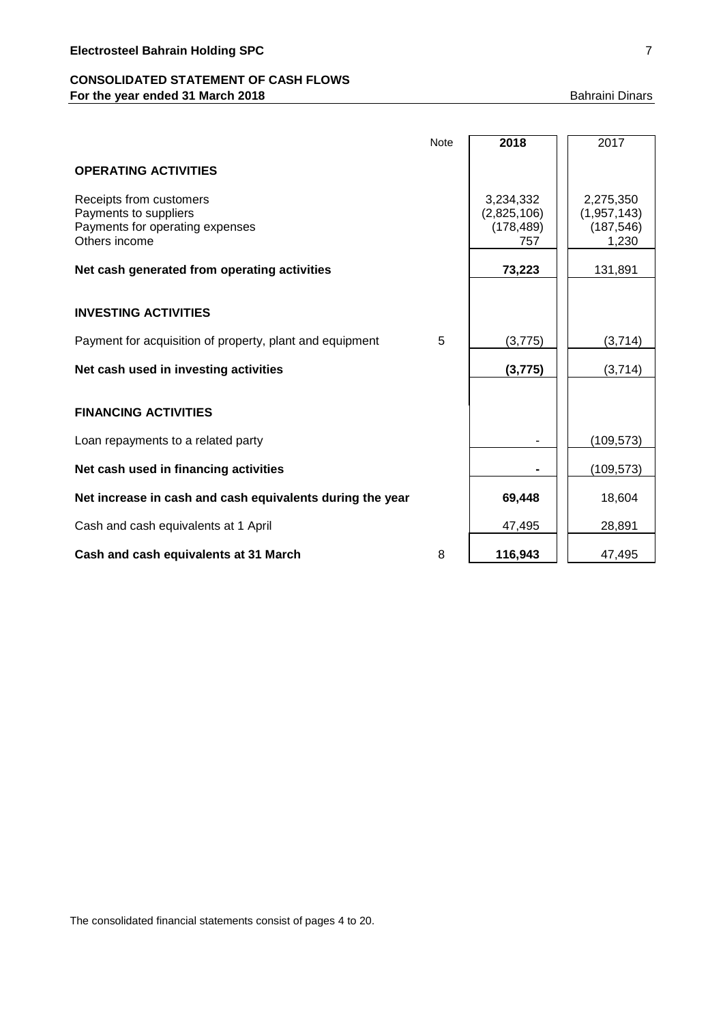# **CONSOLIDATED STATEMENT OF CASH FLOWS For the year ended 31 March 2018** Bahraini Dinars

|                                                                                                      | <b>Note</b> | 2018                                          | 2017                                              |
|------------------------------------------------------------------------------------------------------|-------------|-----------------------------------------------|---------------------------------------------------|
| <b>OPERATING ACTIVITIES</b>                                                                          |             |                                               |                                                   |
| Receipts from customers<br>Payments to suppliers<br>Payments for operating expenses<br>Others income |             | 3,234,332<br>(2,825,106)<br>(178, 489)<br>757 | 2,275,350<br>(1, 957, 143)<br>(187, 546)<br>1,230 |
| Net cash generated from operating activities                                                         |             | 73,223                                        | 131,891                                           |
| <b>INVESTING ACTIVITIES</b>                                                                          |             |                                               |                                                   |
| Payment for acquisition of property, plant and equipment                                             | 5           | (3,775)                                       | (3,714)                                           |
| Net cash used in investing activities                                                                |             | (3, 775)                                      | (3,714)                                           |
| <b>FINANCING ACTIVITIES</b>                                                                          |             |                                               |                                                   |
| Loan repayments to a related party                                                                   |             |                                               | (109, 573)                                        |
| Net cash used in financing activities                                                                |             |                                               | (109, 573)                                        |
| Net increase in cash and cash equivalents during the year                                            |             | 69,448                                        | 18,604                                            |
| Cash and cash equivalents at 1 April                                                                 |             | 47,495                                        | 28,891                                            |
| Cash and cash equivalents at 31 March                                                                | 8           | 116,943                                       | 47,495                                            |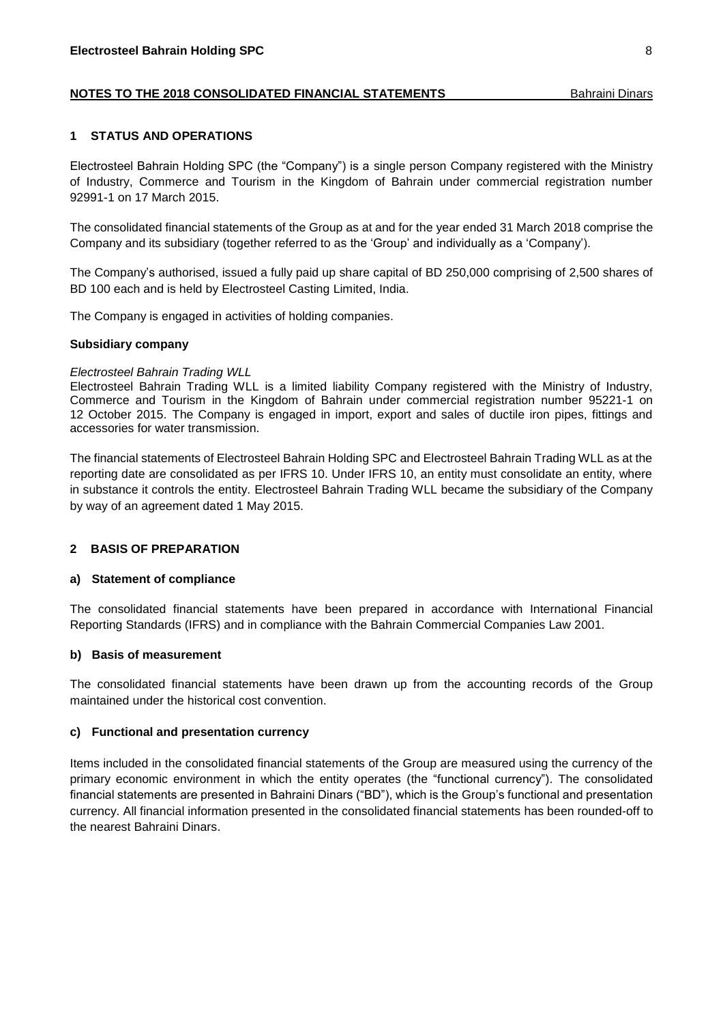#### **1 STATUS AND OPERATIONS**

Electrosteel Bahrain Holding SPC (the "Company") is a single person Company registered with the Ministry of Industry, Commerce and Tourism in the Kingdom of Bahrain under commercial registration number 92991-1 on 17 March 2015.

The consolidated financial statements of the Group as at and for the year ended 31 March 2018 comprise the Company and its subsidiary (together referred to as the 'Group' and individually as a 'Company').

The Company's authorised, issued a fully paid up share capital of BD 250,000 comprising of 2,500 shares of BD 100 each and is held by Electrosteel Casting Limited, India.

The Company is engaged in activities of holding companies.

#### **Subsidiary company**

#### *Electrosteel Bahrain Trading WLL*

Electrosteel Bahrain Trading WLL is a limited liability Company registered with the Ministry of Industry, Commerce and Tourism in the Kingdom of Bahrain under commercial registration number 95221-1 on 12 October 2015. The Company is engaged in import, export and sales of ductile iron pipes, fittings and accessories for water transmission.

The financial statements of Electrosteel Bahrain Holding SPC and Electrosteel Bahrain Trading WLL as at the reporting date are consolidated as per IFRS 10. Under IFRS 10, an entity must consolidate an entity, where in substance it controls the entity. Electrosteel Bahrain Trading WLL became the subsidiary of the Company by way of an agreement dated 1 May 2015.

#### **2 BASIS OF PREPARATION**

#### **a) Statement of compliance**

The consolidated financial statements have been prepared in accordance with International Financial Reporting Standards (IFRS) and in compliance with the Bahrain Commercial Companies Law 2001.

#### **b) Basis of measurement**

The consolidated financial statements have been drawn up from the accounting records of the Group maintained under the historical cost convention.

#### **c) Functional and presentation currency**

Items included in the consolidated financial statements of the Group are measured using the currency of the primary economic environment in which the entity operates (the "functional currency"). The consolidated financial statements are presented in Bahraini Dinars ("BD"), which is the Group's functional and presentation currency. All financial information presented in the consolidated financial statements has been rounded-off to the nearest Bahraini Dinars.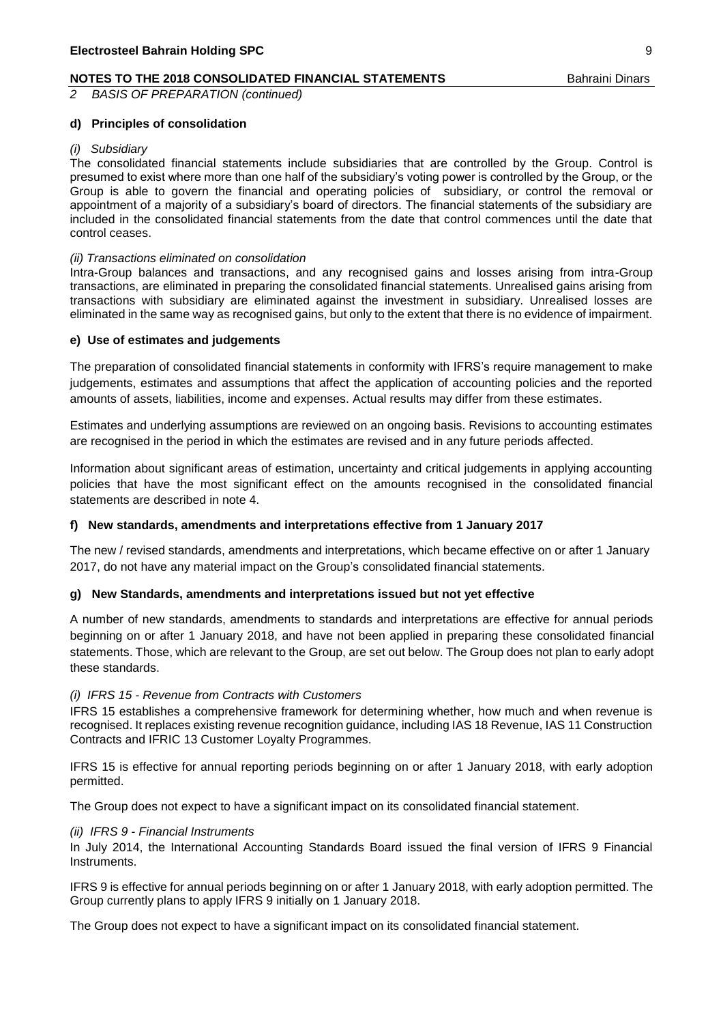*2 BASIS OF PREPARATION (continued)*

#### **d) Principles of consolidation**

#### *(i) Subsidiary*

The consolidated financial statements include subsidiaries that are controlled by the Group. Control is presumed to exist where more than one half of the subsidiary's voting power is controlled by the Group, or the Group is able to govern the financial and operating policies of subsidiary, or control the removal or appointment of a majority of a subsidiary's board of directors. The financial statements of the subsidiary are included in the consolidated financial statements from the date that control commences until the date that control ceases.

#### *(ii) Transactions eliminated on consolidation*

Intra-Group balances and transactions, and any recognised gains and losses arising from intra-Group transactions, are eliminated in preparing the consolidated financial statements. Unrealised gains arising from transactions with subsidiary are eliminated against the investment in subsidiary. Unrealised losses are eliminated in the same way as recognised gains, but only to the extent that there is no evidence of impairment.

#### **e) Use of estimates and judgements**

The preparation of consolidated financial statements in conformity with IFRS's require management to make judgements, estimates and assumptions that affect the application of accounting policies and the reported amounts of assets, liabilities, income and expenses. Actual results may differ from these estimates.

Estimates and underlying assumptions are reviewed on an ongoing basis. Revisions to accounting estimates are recognised in the period in which the estimates are revised and in any future periods affected.

Information about significant areas of estimation, uncertainty and critical judgements in applying accounting policies that have the most significant effect on the amounts recognised in the consolidated financial statements are described in note 4.

#### **f) New standards, amendments and interpretations effective from 1 January 2017**

The new / revised standards, amendments and interpretations, which became effective on or after 1 January 2017, do not have any material impact on the Group's consolidated financial statements.

#### **g) New Standards, amendments and interpretations issued but not yet effective**

A number of new standards, amendments to standards and interpretations are effective for annual periods beginning on or after 1 January 2018, and have not been applied in preparing these consolidated financial statements. Those, which are relevant to the Group, are set out below. The Group does not plan to early adopt these standards.

#### *(i) IFRS 15 - Revenue from Contracts with Customers*

IFRS 15 establishes a comprehensive framework for determining whether, how much and when revenue is recognised. It replaces existing revenue recognition guidance, including IAS 18 Revenue, IAS 11 Construction Contracts and IFRIC 13 Customer Loyalty Programmes.

IFRS 15 is effective for annual reporting periods beginning on or after 1 January 2018, with early adoption permitted.

The Group does not expect to have a significant impact on its consolidated financial statement.

#### *(ii) IFRS 9 - Financial Instruments*

In July 2014, the International Accounting Standards Board issued the final version of IFRS 9 Financial Instruments.

IFRS 9 is effective for annual periods beginning on or after 1 January 2018, with early adoption permitted. The Group currently plans to apply IFRS 9 initially on 1 January 2018.

The Group does not expect to have a significant impact on its consolidated financial statement.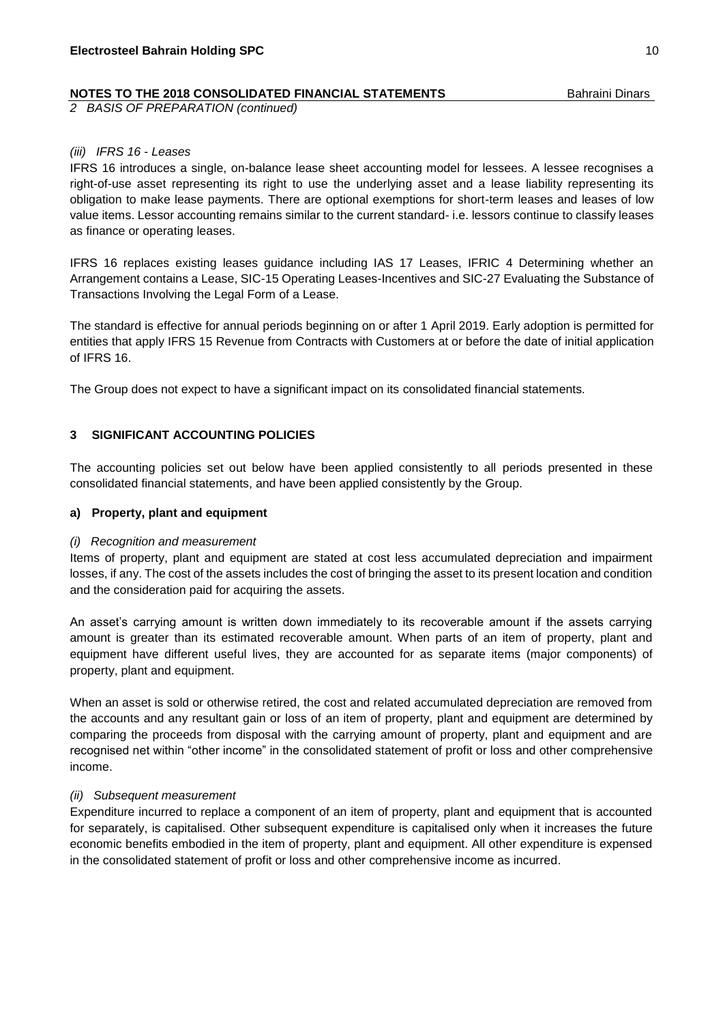*2 BASIS OF PREPARATION (continued)*

#### *(iii) IFRS 16 - Leases*

IFRS 16 introduces a single, on-balance lease sheet accounting model for lessees. A lessee recognises a right-of-use asset representing its right to use the underlying asset and a lease liability representing its obligation to make lease payments. There are optional exemptions for short-term leases and leases of low value items. Lessor accounting remains similar to the current standard- i.e. lessors continue to classify leases as finance or operating leases.

IFRS 16 replaces existing leases guidance including IAS 17 Leases, IFRIC 4 Determining whether an Arrangement contains a Lease, SIC-15 Operating Leases-Incentives and SIC-27 Evaluating the Substance of Transactions Involving the Legal Form of a Lease.

The standard is effective for annual periods beginning on or after 1 April 2019. Early adoption is permitted for entities that apply IFRS 15 Revenue from Contracts with Customers at or before the date of initial application of IFRS 16.

The Group does not expect to have a significant impact on its consolidated financial statements*.*

#### **3 SIGNIFICANT ACCOUNTING POLICIES**

The accounting policies set out below have been applied consistently to all periods presented in these consolidated financial statements, and have been applied consistently by the Group.

#### **a) Property, plant and equipment**

#### *(i) Recognition and measurement*

Items of property, plant and equipment are stated at cost less accumulated depreciation and impairment losses, if any. The cost of the assets includes the cost of bringing the asset to its present location and condition and the consideration paid for acquiring the assets.

An asset's carrying amount is written down immediately to its recoverable amount if the assets carrying amount is greater than its estimated recoverable amount. When parts of an item of property, plant and equipment have different useful lives, they are accounted for as separate items (major components) of property, plant and equipment.

When an asset is sold or otherwise retired, the cost and related accumulated depreciation are removed from the accounts and any resultant gain or loss of an item of property, plant and equipment are determined by comparing the proceeds from disposal with the carrying amount of property, plant and equipment and are recognised net within "other income" in the consolidated statement of profit or loss and other comprehensive income.

#### *(ii) Subsequent measurement*

Expenditure incurred to replace a component of an item of property, plant and equipment that is accounted for separately, is capitalised. Other subsequent expenditure is capitalised only when it increases the future economic benefits embodied in the item of property, plant and equipment. All other expenditure is expensed in the consolidated statement of profit or loss and other comprehensive income as incurred.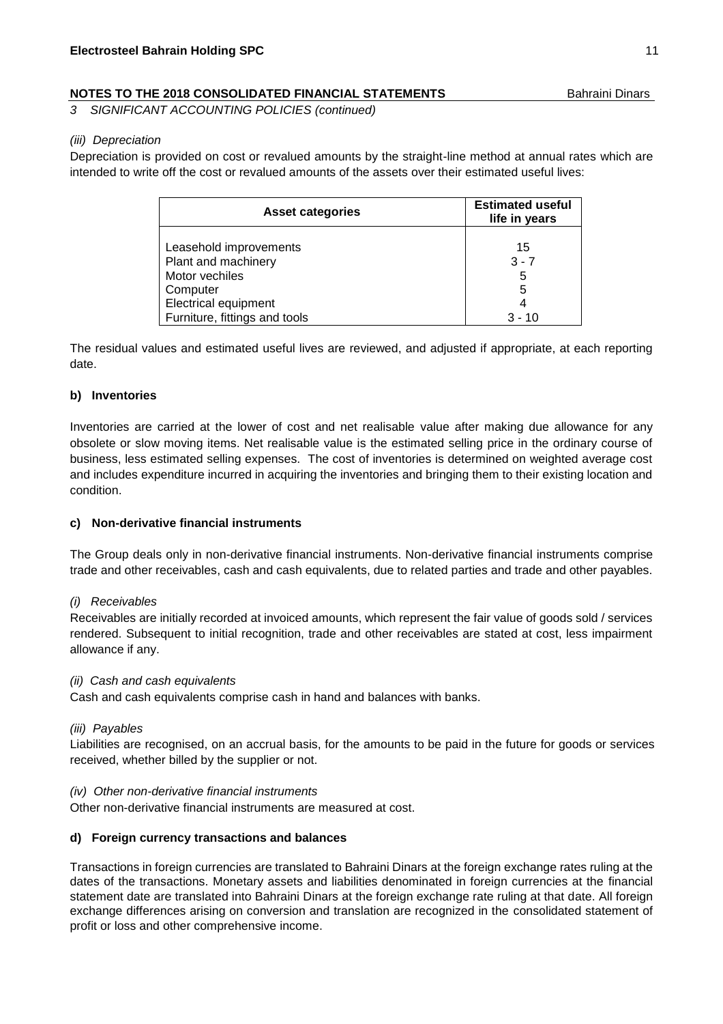*3 SIGNIFICANT ACCOUNTING POLICIES (continued)*

#### *(iii) Depreciation*

Depreciation is provided on cost or revalued amounts by the straight-line method at annual rates which are intended to write off the cost or revalued amounts of the assets over their estimated useful lives:

| <b>Asset categories</b>                       | <b>Estimated useful</b><br>life in years |
|-----------------------------------------------|------------------------------------------|
|                                               | 15                                       |
| Leasehold improvements<br>Plant and machinery | $3 - 7$                                  |
| Motor vechiles                                | 5                                        |
| Computer                                      | 5                                        |
| <b>Electrical equipment</b>                   |                                          |
| Furniture, fittings and tools                 | 3 - 10                                   |

The residual values and estimated useful lives are reviewed, and adjusted if appropriate, at each reporting date.

#### **b) Inventories**

Inventories are carried at the lower of cost and net realisable value after making due allowance for any obsolete or slow moving items. Net realisable value is the estimated selling price in the ordinary course of business, less estimated selling expenses. The cost of inventories is determined on weighted average cost and includes expenditure incurred in acquiring the inventories and bringing them to their existing location and condition.

#### **c) Non-derivative financial instruments**

The Group deals only in non-derivative financial instruments. Non-derivative financial instruments comprise trade and other receivables, cash and cash equivalents, due to related parties and trade and other payables.

#### *(i) Receivables*

Receivables are initially recorded at invoiced amounts, which represent the fair value of goods sold / services rendered. Subsequent to initial recognition, trade and other receivables are stated at cost, less impairment allowance if any.

#### *(ii) Cash and cash equivalents*

Cash and cash equivalents comprise cash in hand and balances with banks.

#### *(iii) Payables*

Liabilities are recognised, on an accrual basis, for the amounts to be paid in the future for goods or services received, whether billed by the supplier or not.

#### *(iv) Other non-derivative financial instruments*

Other non-derivative financial instruments are measured at cost.

#### **d) Foreign currency transactions and balances**

Transactions in foreign currencies are translated to Bahraini Dinars at the foreign exchange rates ruling at the dates of the transactions. Monetary assets and liabilities denominated in foreign currencies at the financial statement date are translated into Bahraini Dinars at the foreign exchange rate ruling at that date. All foreign exchange differences arising on conversion and translation are recognized in the consolidated statement of profit or loss and other comprehensive income.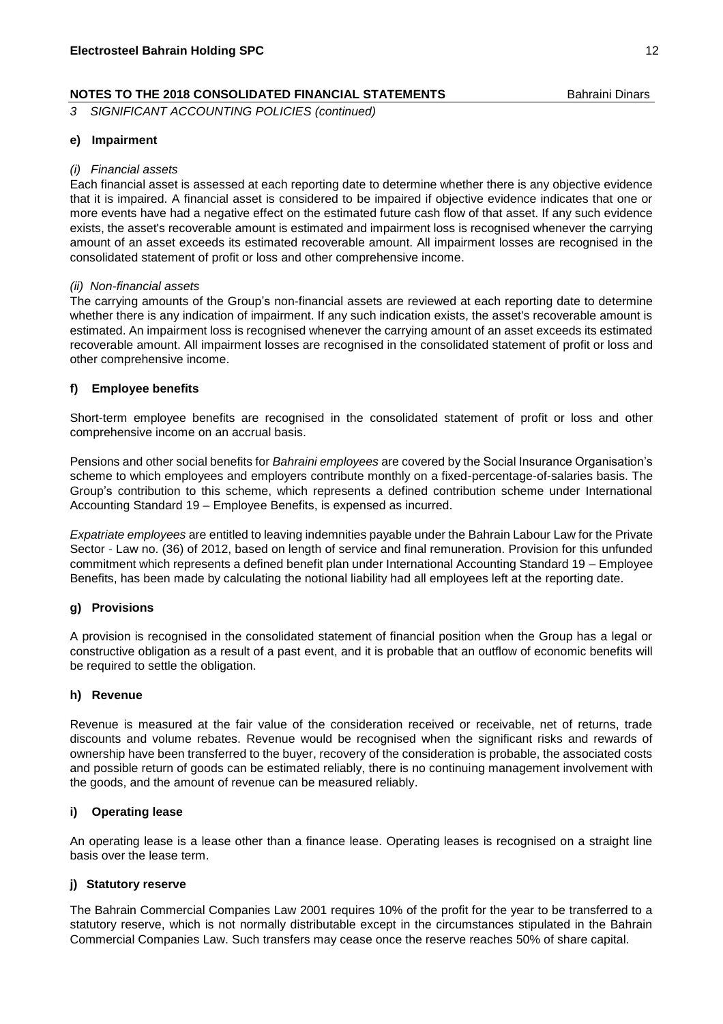*3 SIGNIFICANT ACCOUNTING POLICIES (continued)*

#### **e) Impairment**

#### *(i) Financial assets*

Each financial asset is assessed at each reporting date to determine whether there is any objective evidence that it is impaired. A financial asset is considered to be impaired if objective evidence indicates that one or more events have had a negative effect on the estimated future cash flow of that asset. If any such evidence exists, the asset's recoverable amount is estimated and impairment loss is recognised whenever the carrying amount of an asset exceeds its estimated recoverable amount. All impairment losses are recognised in the consolidated statement of profit or loss and other comprehensive income.

#### *(ii) Non-financial assets*

The carrying amounts of the Group's non-financial assets are reviewed at each reporting date to determine whether there is any indication of impairment. If any such indication exists, the asset's recoverable amount is estimated. An impairment loss is recognised whenever the carrying amount of an asset exceeds its estimated recoverable amount. All impairment losses are recognised in the consolidated statement of profit or loss and other comprehensive income.

#### **f) Employee benefits**

Short-term employee benefits are recognised in the consolidated statement of profit or loss and other comprehensive income on an accrual basis.

Pensions and other social benefits for *Bahraini employees* are covered by the Social Insurance Organisation's scheme to which employees and employers contribute monthly on a fixed-percentage-of-salaries basis. The Group's contribution to this scheme, which represents a defined contribution scheme under International Accounting Standard 19 – Employee Benefits, is expensed as incurred.

*Expatriate employees* are entitled to leaving indemnities payable under the Bahrain Labour Law for the Private Sector - Law no. (36) of 2012, based on length of service and final remuneration. Provision for this unfunded commitment which represents a defined benefit plan under International Accounting Standard 19 – Employee Benefits, has been made by calculating the notional liability had all employees left at the reporting date.

#### **g) Provisions**

A provision is recognised in the consolidated statement of financial position when the Group has a legal or constructive obligation as a result of a past event, and it is probable that an outflow of economic benefits will be required to settle the obligation.

#### **h) Revenue**

Revenue is measured at the fair value of the consideration received or receivable, net of returns, trade discounts and volume rebates. Revenue would be recognised when the significant risks and rewards of ownership have been transferred to the buyer, recovery of the consideration is probable, the associated costs and possible return of goods can be estimated reliably, there is no continuing management involvement with the goods, and the amount of revenue can be measured reliably.

#### **i) Operating lease**

An operating lease is a lease other than a finance lease. Operating leases is recognised on a straight line basis over the lease term.

#### **j) Statutory reserve**

The Bahrain Commercial Companies Law 2001 requires 10% of the profit for the year to be transferred to a statutory reserve, which is not normally distributable except in the circumstances stipulated in the Bahrain Commercial Companies Law. Such transfers may cease once the reserve reaches 50% of share capital.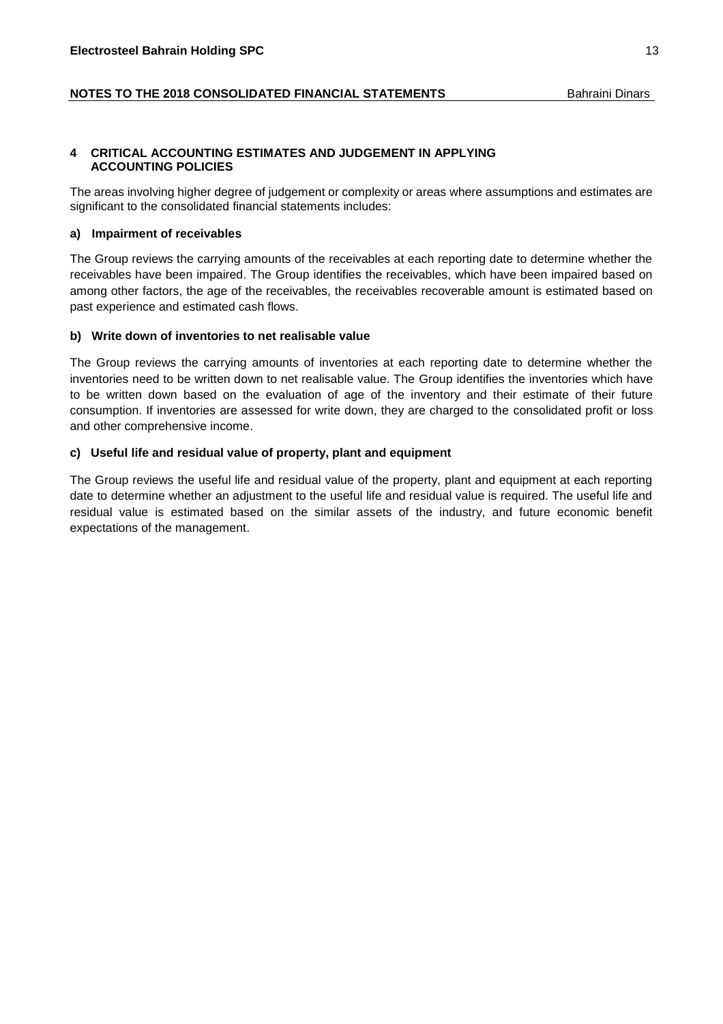#### **4 CRITICAL ACCOUNTING ESTIMATES AND JUDGEMENT IN APPLYING ACCOUNTING POLICIES**

The areas involving higher degree of judgement or complexity or areas where assumptions and estimates are significant to the consolidated financial statements includes:

#### **a) Impairment of receivables**

The Group reviews the carrying amounts of the receivables at each reporting date to determine whether the receivables have been impaired. The Group identifies the receivables, which have been impaired based on among other factors, the age of the receivables, the receivables recoverable amount is estimated based on past experience and estimated cash flows.

#### **b) Write down of inventories to net realisable value**

The Group reviews the carrying amounts of inventories at each reporting date to determine whether the inventories need to be written down to net realisable value. The Group identifies the inventories which have to be written down based on the evaluation of age of the inventory and their estimate of their future consumption. If inventories are assessed for write down, they are charged to the consolidated profit or loss and other comprehensive income.

#### **c) Useful life and residual value of property, plant and equipment**

The Group reviews the useful life and residual value of the property, plant and equipment at each reporting date to determine whether an adjustment to the useful life and residual value is required. The useful life and residual value is estimated based on the similar assets of the industry, and future economic benefit expectations of the management.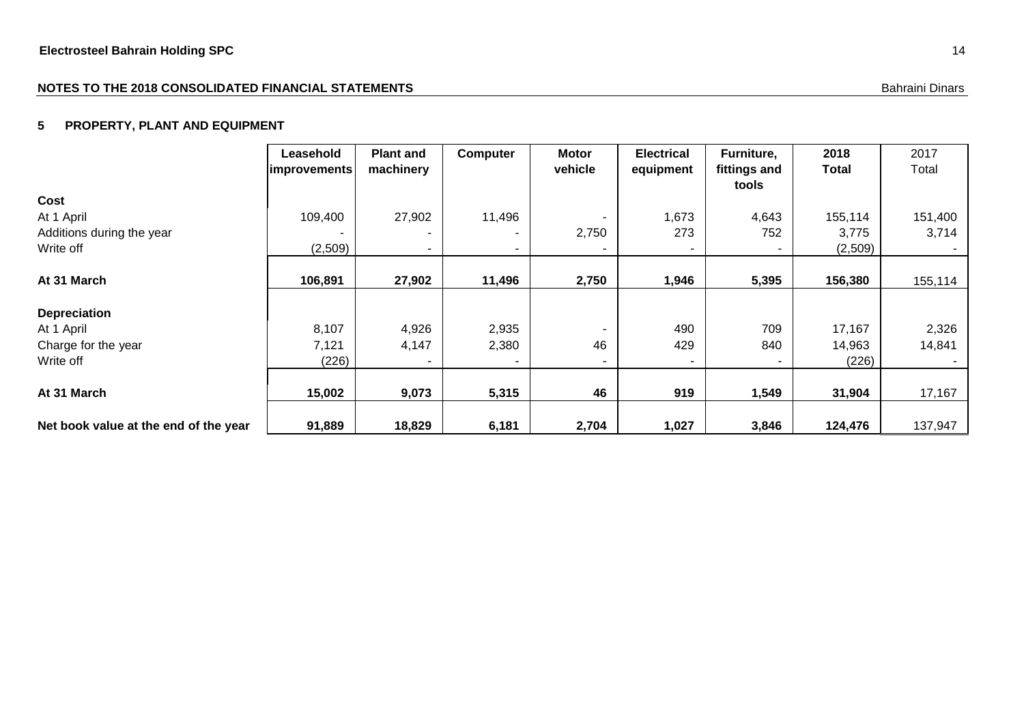# **5 PROPERTY, PLANT AND EQUIPMENT**

|                                       | Leasehold    | <b>Plant and</b> | Computer | <b>Motor</b> | <b>Electrical</b> | Furniture,   | 2018         | 2017    |
|---------------------------------------|--------------|------------------|----------|--------------|-------------------|--------------|--------------|---------|
|                                       | improvements | machinery        |          | vehicle      | equipment         | fittings and | <b>Total</b> | Total   |
| Cost                                  |              |                  |          |              |                   | tools        |              |         |
|                                       |              |                  |          |              |                   |              |              |         |
| At 1 April                            | 109,400      | 27,902           | 11,496   |              | 1,673             | 4,643        | 155,114      | 151,400 |
| Additions during the year             |              |                  |          | 2,750        | 273               | 752          | 3,775        | 3,714   |
| Write off                             | (2,509)      | $\sim$           | ۰.       |              | ۰                 |              | (2,509)      |         |
|                                       |              |                  |          |              |                   |              |              |         |
| At 31 March                           | 106,891      | 27,902           | 11,496   | 2,750        | 1,946             | 5,395        | 156,380      | 155,114 |
|                                       |              |                  |          |              |                   |              |              |         |
| <b>Depreciation</b>                   |              |                  |          |              |                   |              |              |         |
| At 1 April                            | 8,107        | 4,926            | 2,935    |              | 490               | 709          | 17,167       | 2,326   |
| Charge for the year                   | 7,121        | 4,147            | 2,380    | 46           | 429               | 840          | 14,963       | 14,841  |
| Write off                             | (226)        |                  |          |              | ۰                 |              | (226)        |         |
|                                       |              |                  |          |              |                   |              |              |         |
| At 31 March                           | 15,002       | 9,073            | 5,315    | 46           | 919               | 1,549        | 31,904       | 17,167  |
|                                       |              |                  |          |              |                   |              |              |         |
| Net book value at the end of the year | 91,889       | 18,829           | 6,181    | 2,704        | 1,027             | 3,846        | 124,476      | 137,947 |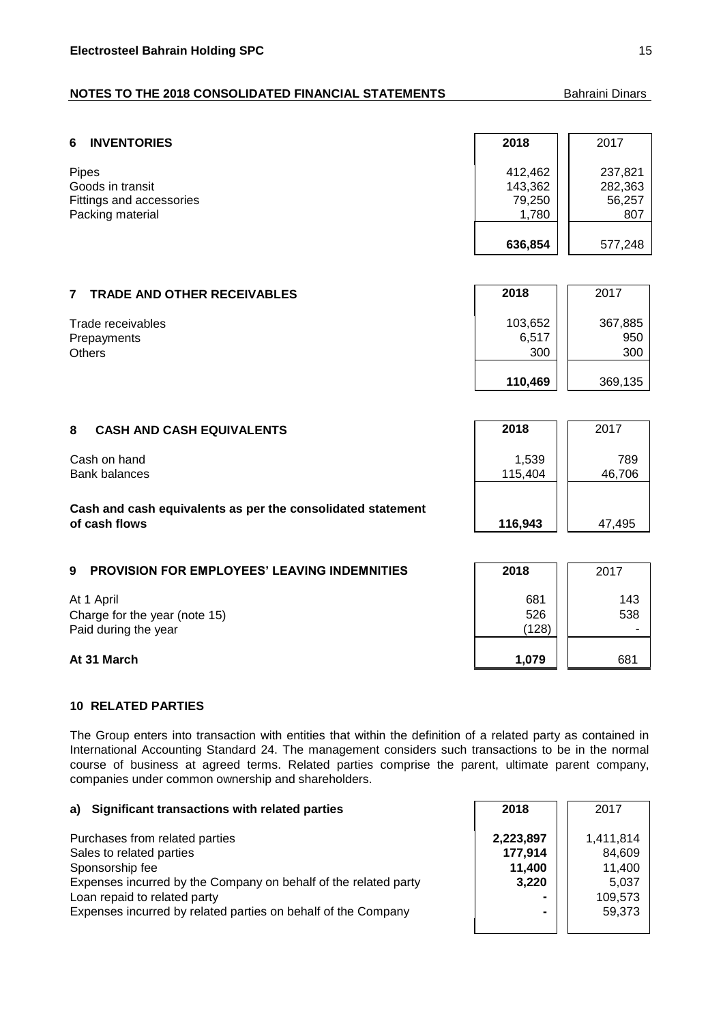| Pipes<br>Goods in transit<br>Fittings and accessories<br>Packing material    | 412,462<br>143,362<br>79,250<br>1,780 | 237,821<br>282,363<br>56,257<br>807 |
|------------------------------------------------------------------------------|---------------------------------------|-------------------------------------|
|                                                                              | 636,854                               | 577,248                             |
|                                                                              |                                       |                                     |
| <b>TRADE AND OTHER RECEIVABLES</b><br>7                                      | 2018                                  | 2017                                |
| Trade receivables<br>Prepayments<br><b>Others</b>                            | 103,652<br>6,517<br>300               | 367,885<br>950<br>300               |
|                                                                              | 110,469                               | 369,135                             |
|                                                                              |                                       |                                     |
| <b>CASH AND CASH EQUIVALENTS</b><br>8                                        | 2018                                  | 2017                                |
| Cash on hand<br><b>Bank balances</b>                                         | 1,539<br>115,404                      | 789<br>46,706                       |
| Cash and cash equivalents as per the consolidated statement<br>of cash flows | 116,943                               | 47,495                              |
|                                                                              |                                       |                                     |
| <b>PROVISION FOR EMPLOYEES' LEAVING INDEMNITIES</b><br>9                     | 2018                                  | 2017                                |

**6 INVENTORIES 2018** 2017

| At 1 April                                            | 681          | 143 |
|-------------------------------------------------------|--------------|-----|
| Charge for the year (note 15)<br>Paid during the year | 526<br>(128) | 538 |
| At 31 March                                           | 1.079        | 681 |

# **10 RELATED PARTIES**

The Group enters into transaction with entities that within the definition of a related party as contained in International Accounting Standard 24. The management considers such transactions to be in the normal course of business at agreed terms. Related parties comprise the parent, ultimate parent company, companies under common ownership and shareholders.

| Significant transactions with related parties<br>a)                                                                                                                                                                                               | 2018                                    | 2017                                                        |
|---------------------------------------------------------------------------------------------------------------------------------------------------------------------------------------------------------------------------------------------------|-----------------------------------------|-------------------------------------------------------------|
| Purchases from related parties<br>Sales to related parties<br>Sponsorship fee<br>Expenses incurred by the Company on behalf of the related party<br>Loan repaid to related party<br>Expenses incurred by related parties on behalf of the Company | 2,223,897<br>177,914<br>11,400<br>3,220 | 1,411,814<br>84,609<br>11,400<br>5,037<br>109,573<br>59,373 |
|                                                                                                                                                                                                                                                   |                                         |                                                             |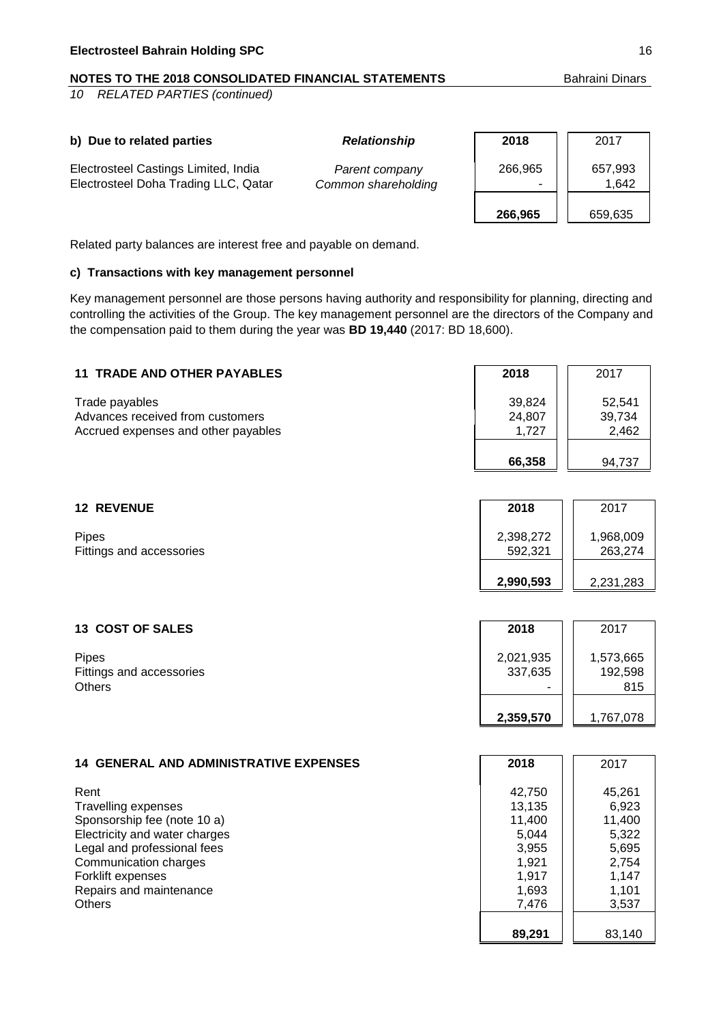*10 RELATED PARTIES (continued)*

| b) Due to related parties                                                    | <b>Relationship</b>                   | 2018         | 2017             |
|------------------------------------------------------------------------------|---------------------------------------|--------------|------------------|
| Electrosteel Castings Limited, India<br>Electrosteel Doha Trading LLC, Qatar | Parent company<br>Common shareholding | 266,965<br>٠ | 657,993<br>1.642 |
|                                                                              |                                       | 266.965      | 659,635          |

Related party balances are interest free and payable on demand.

#### **c) Transactions with key management personnel**

Key management personnel are those persons having authority and responsibility for planning, directing and controlling the activities of the Group. The key management personnel are the directors of the Company and the compensation paid to them during the year was **BD 19,440** (2017: BD 18,600).

| <b>11 TRADE AND OTHER PAYABLES</b>  | 2018   | 2017   |
|-------------------------------------|--------|--------|
| Trade payables                      | 39,824 | 52,541 |
| Advances received from customers    | 24,807 | 39,734 |
| Accrued expenses and other payables | 1.727  | 2,462  |
|                                     | 66.358 | 94.737 |

| <b>12 REVENUE</b>                        | 2018                 | 2017                 |
|------------------------------------------|----------------------|----------------------|
| <b>Pipes</b><br>Fittings and accessories | 2,398,272<br>592,321 | 1,968,009<br>263,274 |
|                                          | 2,990,593            | 2,231,283            |

| <b>13 COST OF SALES</b>  | 2018      | 2017      |
|--------------------------|-----------|-----------|
| <b>Pipes</b>             | 2,021,935 | 1,573,665 |
| Fittings and accessories | 337,635   | 192,598   |
| <b>Others</b>            | -         | 815       |

| <b>14 GENERAL AND ADMINISTRATIVE EXPENSES</b> | 2018   | 2017   |
|-----------------------------------------------|--------|--------|
| Rent                                          | 42,750 | 45,261 |
| Travelling expenses                           | 13,135 | 6,923  |
| Sponsorship fee (note 10 a)                   | 11,400 | 11,400 |
| Electricity and water charges                 | 5.044  | 5.322  |
| Legal and professional fees                   | 3,955  | 5,695  |
| Communication charges                         | 1.921  | 2,754  |
| Forklift expenses                             | 1.917  | 1,147  |
| Repairs and maintenance                       | 1,693  | 1,101  |
| <b>Others</b>                                 | 7,476  | 3,537  |
|                                               |        |        |
|                                               | 89.291 | 83.140 |

**2,359,570** | 1,767,078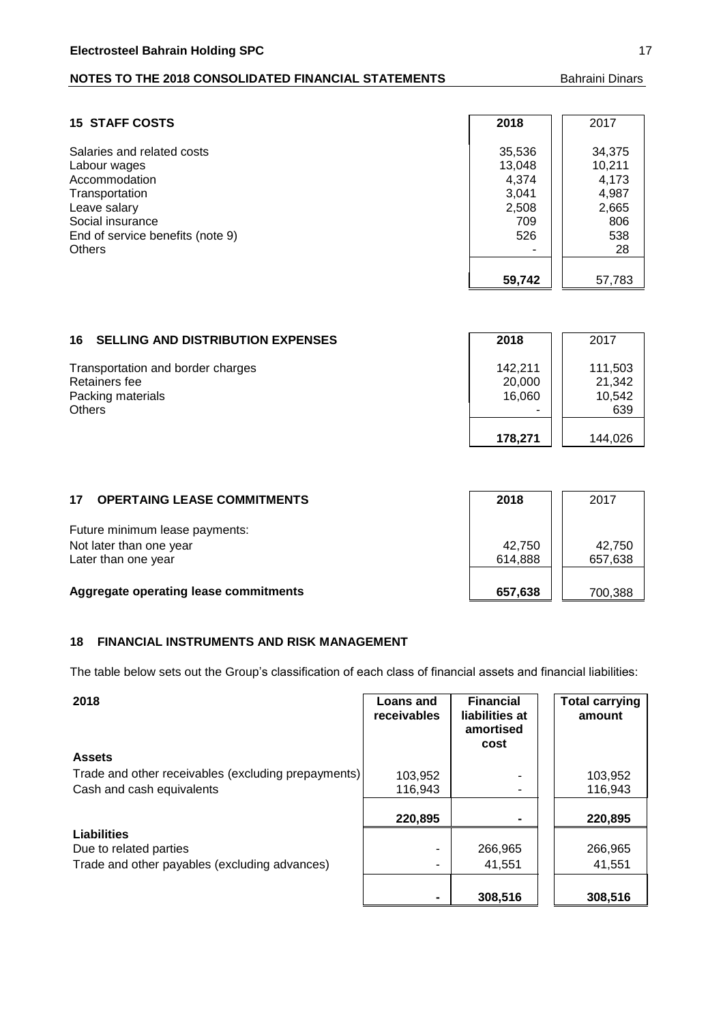# **15 STAFF COSTS 2018** 2017

| <b>15 STAFF COSTS</b>                                                                                                                                                  | 2018                                                      | 2017                                                            |
|------------------------------------------------------------------------------------------------------------------------------------------------------------------------|-----------------------------------------------------------|-----------------------------------------------------------------|
| Salaries and related costs<br>Labour wages<br>Accommodation<br>Transportation<br>Leave salary<br>Social insurance<br>End of service benefits (note 9)<br><b>Others</b> | 35,536<br>13,048<br>4,374<br>3,041<br>2,508<br>709<br>526 | 34,375<br>10,211<br>4,173<br>4,987<br>2,665<br>806<br>538<br>28 |
|                                                                                                                                                                        | 59,742                                                    | 57,783                                                          |
|                                                                                                                                                                        |                                                           |                                                                 |

| <b>SELLING AND DISTRIBUTION EXPENSES</b><br>16                                    | 2018                        | 2017                               |
|-----------------------------------------------------------------------------------|-----------------------------|------------------------------------|
| Transportation and border charges<br>Retainers fee<br>Packing materials<br>Others | 142.211<br>20,000<br>16.060 | 111,503<br>21,342<br>10,542<br>639 |
|                                                                                   | 178,271                     | 144,026                            |

| 17<br><b>OPERTAING LEASE COMMITMENTS</b>     | 2018    | 2017    |
|----------------------------------------------|---------|---------|
| Future minimum lease payments:               |         |         |
| Not later than one year                      | 42.750  | 42.750  |
| Later than one year                          | 614,888 | 657,638 |
| <b>Aggregate operating lease commitments</b> | 657,638 | 700,388 |

## **18 FINANCIAL INSTRUMENTS AND RISK MANAGEMENT**

The table below sets out the Group's classification of each class of financial assets and financial liabilities:

| 2018                                                | <b>Loans and</b><br>receivables | <b>Financial</b><br>liabilities at<br>amortised<br>cost | <b>Total carrying</b><br>amount |
|-----------------------------------------------------|---------------------------------|---------------------------------------------------------|---------------------------------|
| <b>Assets</b>                                       |                                 |                                                         |                                 |
| Trade and other receivables (excluding prepayments) | 103,952                         |                                                         | 103,952                         |
| Cash and cash equivalents                           | 116,943                         |                                                         | 116,943                         |
|                                                     | 220,895                         |                                                         | 220,895                         |
| <b>Liabilities</b>                                  |                                 |                                                         |                                 |
| Due to related parties                              |                                 | 266,965                                                 | 266,965                         |
| Trade and other payables (excluding advances)       | $\blacksquare$                  | 41,551                                                  | 41,551                          |
|                                                     |                                 |                                                         |                                 |
|                                                     |                                 | 308,516                                                 | 308,516                         |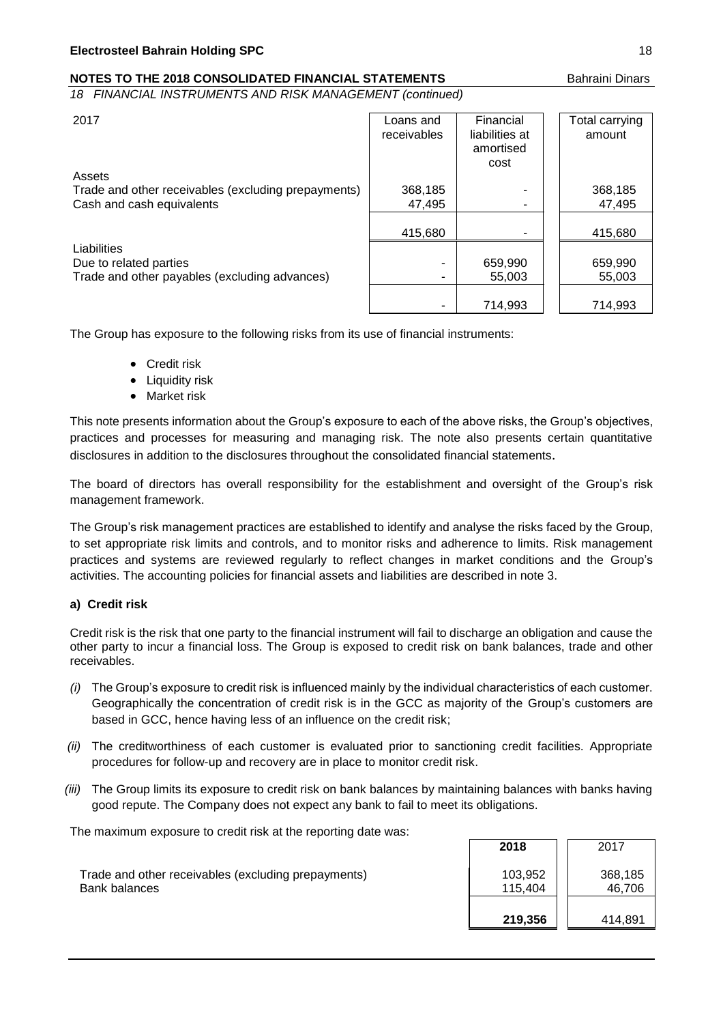*18 FINANCIAL INSTRUMENTS AND RISK MANAGEMENT (continued)*

| 2017                                                | Loans and<br>receivables | Financial<br>liabilities at<br>amortised<br>cost | Total carrying<br>amount |
|-----------------------------------------------------|--------------------------|--------------------------------------------------|--------------------------|
| Assets                                              |                          |                                                  |                          |
| Trade and other receivables (excluding prepayments) | 368,185                  |                                                  | 368,185                  |
| Cash and cash equivalents                           | 47,495                   |                                                  | 47,495                   |
|                                                     |                          |                                                  |                          |
|                                                     | 415,680                  |                                                  | 415,680                  |
| Liabilities                                         |                          |                                                  |                          |
| Due to related parties                              |                          | 659,990                                          | 659,990                  |
| Trade and other payables (excluding advances)       |                          | 55,003                                           | 55,003                   |
|                                                     |                          |                                                  |                          |
|                                                     |                          | 714,993                                          | 714,993                  |

The Group has exposure to the following risks from its use of financial instruments:

- Credit risk
- Liquidity risk
- Market risk

This note presents information about the Group's exposure to each of the above risks, the Group's objectives, practices and processes for measuring and managing risk. The note also presents certain quantitative disclosures in addition to the disclosures throughout the consolidated financial statements.

The board of directors has overall responsibility for the establishment and oversight of the Group's risk management framework.

The Group's risk management practices are established to identify and analyse the risks faced by the Group, to set appropriate risk limits and controls, and to monitor risks and adherence to limits. Risk management practices and systems are reviewed regularly to reflect changes in market conditions and the Group's activities. The accounting policies for financial assets and liabilities are described in note 3.

#### **a) Credit risk**

Credit risk is the risk that one party to the financial instrument will fail to discharge an obligation and cause the other party to incur a financial loss. The Group is exposed to credit risk on bank balances, trade and other receivables.

- *(i)* The Group's exposure to credit risk is influenced mainly by the individual characteristics of each customer. Geographically the concentration of credit risk is in the GCC as majority of the Group's customers are based in GCC, hence having less of an influence on the credit risk;
- *(ii)* The creditworthiness of each customer is evaluated prior to sanctioning credit facilities. Appropriate procedures for follow-up and recovery are in place to monitor credit risk.
- *(iii)* The Group limits its exposure to credit risk on bank balances by maintaining balances with banks having good repute. The Company does not expect any bank to fail to meet its obligations.

The maximum exposure to credit risk at the reporting date was:

| Trade and other receivables (excluding prepayments) | 103,952 | 368,185 |
|-----------------------------------------------------|---------|---------|
| Bank balances                                       | 115.404 | 46,706  |
|                                                     | 219,356 | 414,891 |

**2018** 2017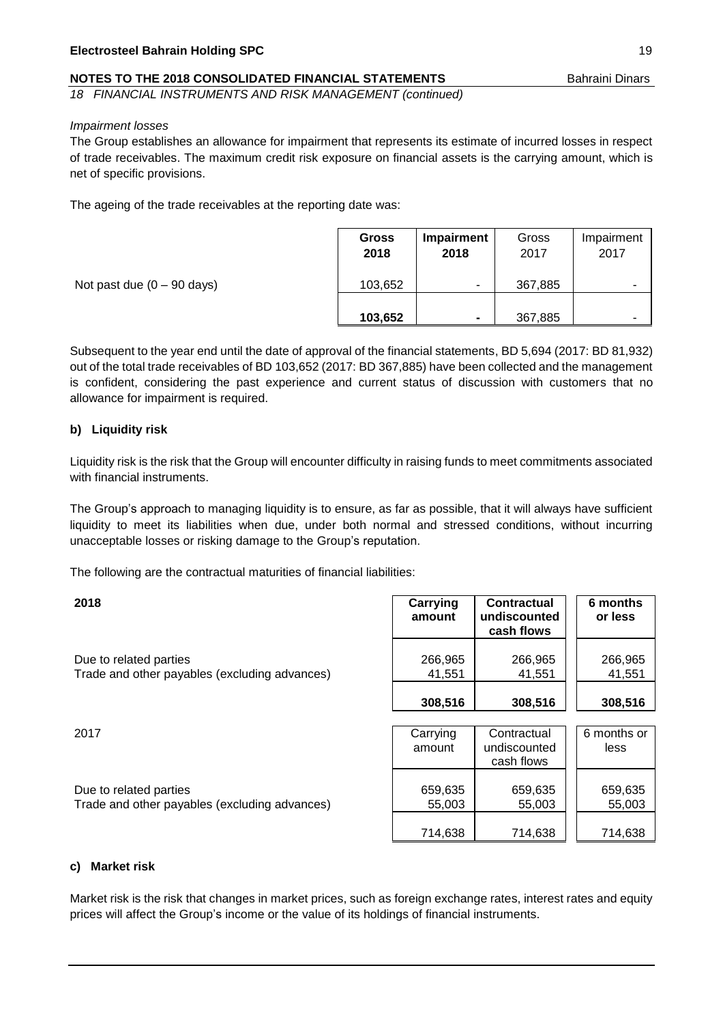*18 FINANCIAL INSTRUMENTS AND RISK MANAGEMENT (continued)*

#### *Impairment losses*

The Group establishes an allowance for impairment that represents its estimate of incurred losses in respect of trade receivables. The maximum credit risk exposure on financial assets is the carrying amount, which is net of specific provisions.

The ageing of the trade receivables at the reporting date was:

|                              | <b>Gross</b><br>2018 | Impairment<br>2018 | Gross<br>2017 | Impairment<br>2017 |
|------------------------------|----------------------|--------------------|---------------|--------------------|
| Not past due $(0 - 90$ days) | 103,652              | ۰.                 | 367,885       | ۰                  |
|                              | 103,652              | $\blacksquare$     | 367,885       | ٠                  |

Subsequent to the year end until the date of approval of the financial statements, BD 5,694 (2017: BD 81,932) out of the total trade receivables of BD 103,652 (2017: BD 367,885) have been collected and the management is confident, considering the past experience and current status of discussion with customers that no allowance for impairment is required.

## **b) Liquidity risk**

Liquidity risk is the risk that the Group will encounter difficulty in raising funds to meet commitments associated with financial instruments.

The Group's approach to managing liquidity is to ensure, as far as possible, that it will always have sufficient liquidity to meet its liabilities when due, under both normal and stressed conditions, without incurring unacceptable losses or risking damage to the Group's reputation.

The following are the contractual maturities of financial liabilities:

**2018 Carrying amount Contractual undiscounted cash flows 6 months or less** Due to related parties 266,965 266,965 266,965 266,965 266,965 Trade and other payables (excluding advances)  $\vert$  41,551 41,551 41,551 41,551 **308,516 308,516 308,516** 2017 Carrying amount **Contractual** undiscounted cash flows 6 months or less Due to related parties **659,635** 659,635 659,635 659,635 659,635 Trade and other payables (excluding advances)  $\vert$  55,003 | 55,003 | 55,003 714,638 714,638 714,638

#### **c) Market risk**

Market risk is the risk that changes in market prices, such as foreign exchange rates, interest rates and equity prices will affect the Group's income or the value of its holdings of financial instruments.